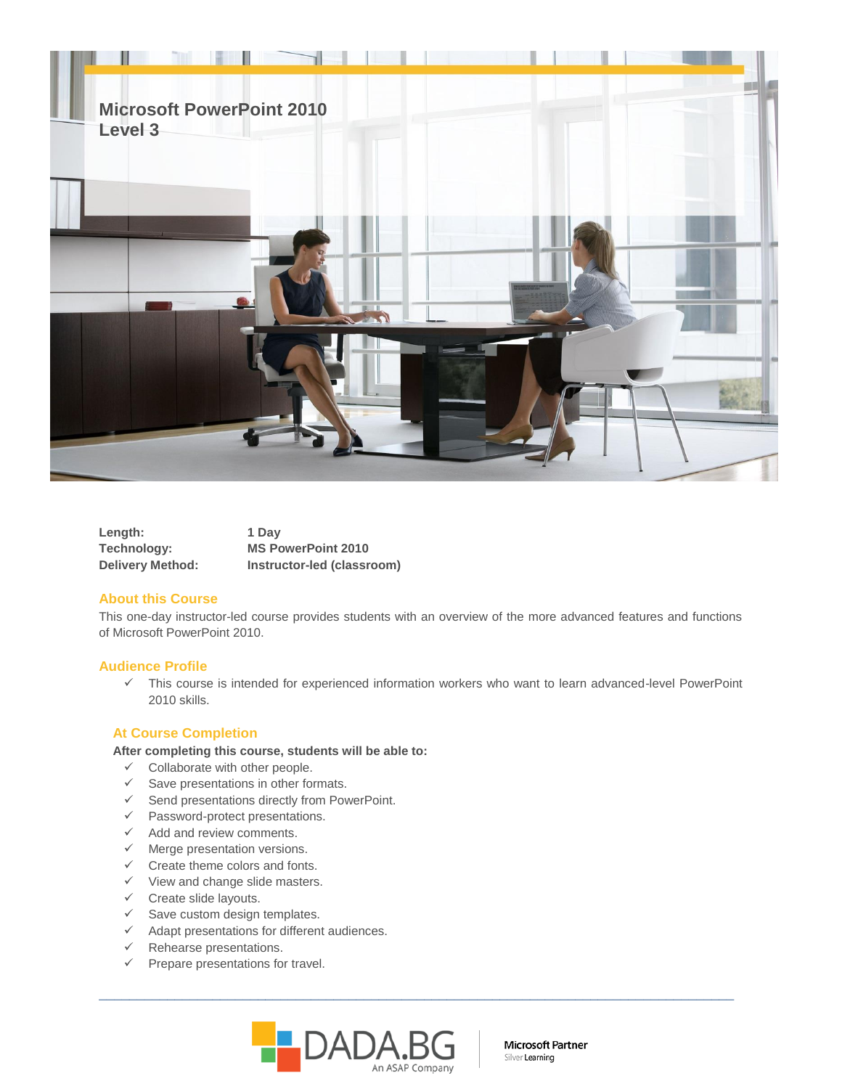

| Length:                 | 1 Dav                      |
|-------------------------|----------------------------|
| Technology:             | <b>MS PowerPoint 2010</b>  |
| <b>Delivery Method:</b> | Instructor-led (classroom) |

# **About this Course**

This one-day instructor-led course provides students with an overview of the more advanced features and functions of Microsoft PowerPoint 2010.

## **Audience Profile**

 This course is intended for experienced information workers who want to learn advanced-level PowerPoint 2010 skills.

# **At Course Completion**

### **After completing this course, students will be able to:**

- $\checkmark$  Collaborate with other people.
- $\checkmark$  Save presentations in other formats.
- $\checkmark$  Send presentations directly from PowerPoint.
- $\checkmark$  Password-protect presentations.
- $\checkmark$  Add and review comments.
- $\checkmark$  Merge presentation versions.
- $\checkmark$  Create theme colors and fonts.
- $\checkmark$  View and change slide masters.
- $\checkmark$  Create slide layouts.
- $\checkmark$  Save custom design templates.
- $\checkmark$  Adapt presentations for different audiences.
- $\checkmark$  Rehearse presentations.
- $\checkmark$  Prepare presentations for travel.



\_\_\_\_\_\_\_\_\_\_\_\_\_\_\_\_\_\_\_\_\_\_\_\_\_\_\_\_\_\_\_\_\_\_\_\_\_\_\_\_\_\_\_\_\_\_\_\_\_\_\_\_\_\_\_\_\_\_\_\_\_\_\_\_\_\_\_\_\_\_\_\_\_\_\_\_\_\_\_\_\_\_\_\_

Microsoft Partner Silver Learning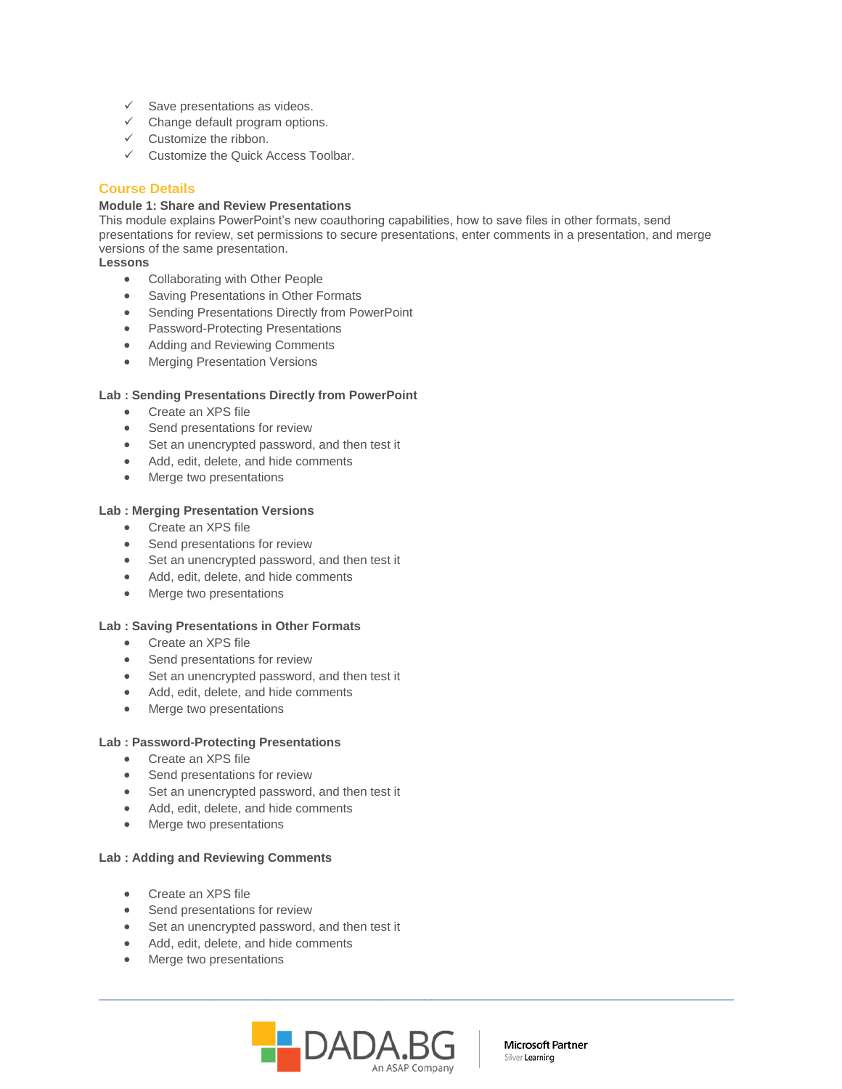- $\checkmark$  Save presentations as videos.
- $\checkmark$  Change default program options.
- $\checkmark$  Customize the ribbon.
- $\checkmark$  Customize the Quick Access Toolbar.

# **Course Details**

### **Module 1: Share and Review Presentations**

This module explains PowerPoint's new coauthoring capabilities, how to save files in other formats, send presentations for review, set permissions to secure presentations, enter comments in a presentation, and merge versions of the same presentation.

**Lessons** 

- Collaborating with Other People
- **Saving Presentations in Other Formats**
- Sending Presentations Directly from PowerPoint
- Password-Protecting Presentations
- Adding and Reviewing Comments
- **•** Merging Presentation Versions

## **Lab : Sending Presentations Directly from PowerPoint**

- Create an XPS file
- Send presentations for review
- Set an unencrypted password, and then test it
- Add, edit, delete, and hide comments
- Merge two presentations

## **Lab : Merging Presentation Versions**

- Create an XPS file
- Send presentations for review
- Set an unencrypted password, and then test it
- Add, edit, delete, and hide comments
- Merge two presentations

### **Lab : Saving Presentations in Other Formats**

- Create an XPS file
- Send presentations for review
- Set an unencrypted password, and then test it
- Add, edit, delete, and hide comments
- Merge two presentations

## **Lab : Password-Protecting Presentations**

- Create an XPS file
- Send presentations for review
- Set an unencrypted password, and then test it
- Add, edit, delete, and hide comments
- Merge two presentations

### **Lab : Adding and Reviewing Comments**

- Create an XPS file
- Send presentations for review
- Set an unencrypted password, and then test it
- Add, edit, delete, and hide comments
- Merge two presentations



\_\_\_\_\_\_\_\_\_\_\_\_\_\_\_\_\_\_\_\_\_\_\_\_\_\_\_\_\_\_\_\_\_\_\_\_\_\_\_\_\_\_\_\_\_\_\_\_\_\_\_\_\_\_\_\_\_\_\_\_\_\_\_\_\_\_\_\_\_\_\_\_\_\_\_\_\_\_\_\_\_\_\_\_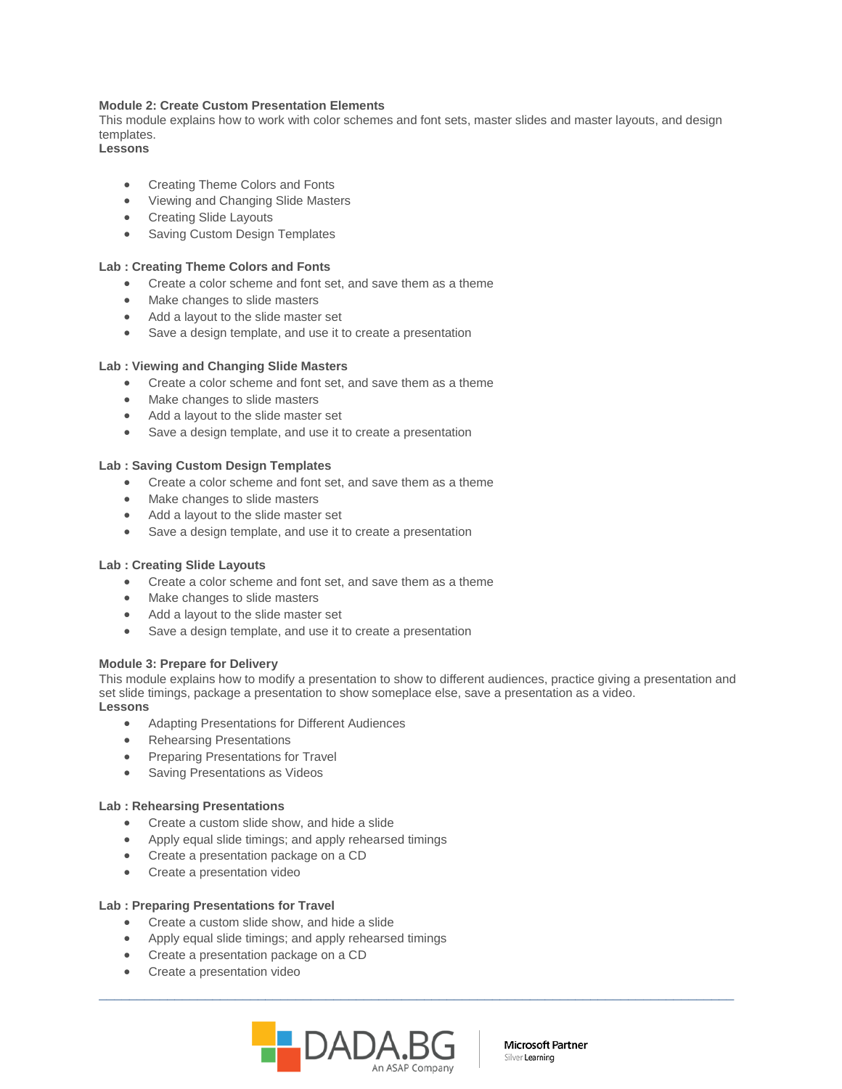## **Module 2: Create Custom Presentation Elements**

This module explains how to work with color schemes and font sets, master slides and master layouts, and design templates.

**Lessons** 

- Creating Theme Colors and Fonts
- Viewing and Changing Slide Masters
- Creating Slide Layouts
- Saving Custom Design Templates

### **Lab : Creating Theme Colors and Fonts**

- Create a color scheme and font set, and save them as a theme
- Make changes to slide masters
- Add a layout to the slide master set
- Save a design template, and use it to create a presentation

### **Lab : Viewing and Changing Slide Masters**

- Create a color scheme and font set, and save them as a theme
- Make changes to slide masters
- Add a layout to the slide master set
- Save a design template, and use it to create a presentation

### **Lab : Saving Custom Design Templates**

- Create a color scheme and font set, and save them as a theme
- Make changes to slide masters
- Add a layout to the slide master set
- Save a design template, and use it to create a presentation

#### **Lab : Creating Slide Layouts**

- Create a color scheme and font set, and save them as a theme
- Make changes to slide masters
- Add a layout to the slide master set
- Save a design template, and use it to create a presentation

#### **Module 3: Prepare for Delivery**

This module explains how to modify a presentation to show to different audiences, practice giving a presentation and set slide timings, package a presentation to show someplace else, save a presentation as a video. **Lessons** 

\_\_\_\_\_\_\_\_\_\_\_\_\_\_\_\_\_\_\_\_\_\_\_\_\_\_\_\_\_\_\_\_\_\_\_\_\_\_\_\_\_\_\_\_\_\_\_\_\_\_\_\_\_\_\_\_\_\_\_\_\_\_\_\_\_\_\_\_\_\_\_\_\_\_\_\_\_\_\_\_\_\_\_\_

- Adapting Presentations for Different Audiences
- Rehearsing Presentations
- Preparing Presentations for Travel
- Saving Presentations as Videos

### **Lab : Rehearsing Presentations**

- Create a custom slide show, and hide a slide
- Apply equal slide timings; and apply rehearsed timings
- Create a presentation package on a CD
- Create a presentation video

#### **Lab : Preparing Presentations for Travel**

- Create a custom slide show, and hide a slide
- Apply equal slide timings; and apply rehearsed timings
- Create a presentation package on a CD
- Create a presentation video



Microsoft Partner Silver Learning